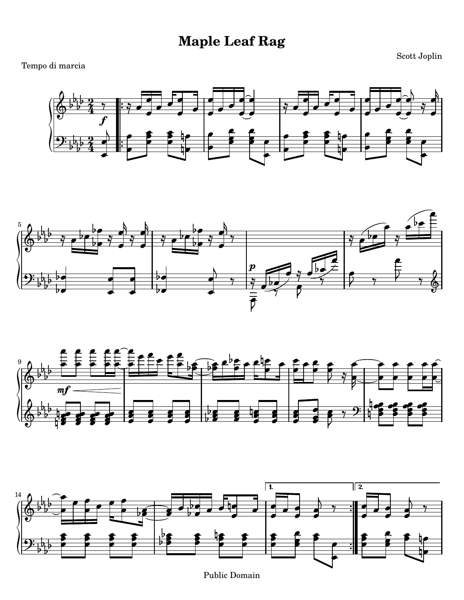## **Maple Leaf Rag**

## Tempo di marcia

Scott Joplin









**Public Domain**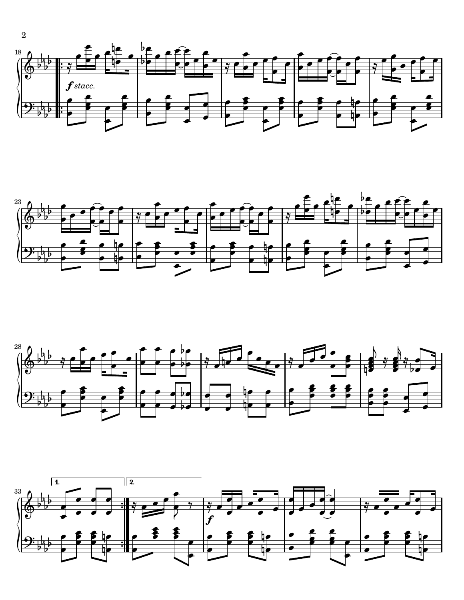





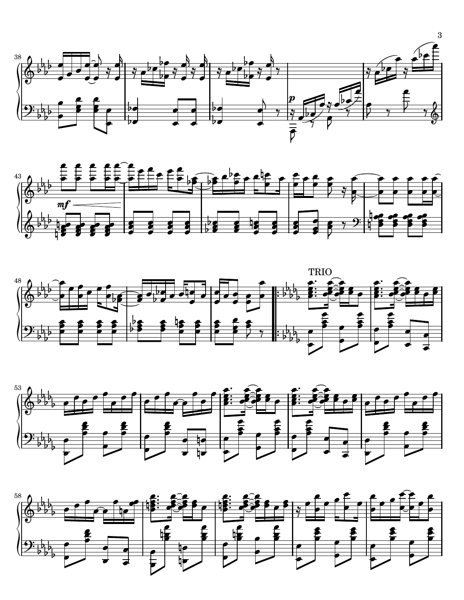